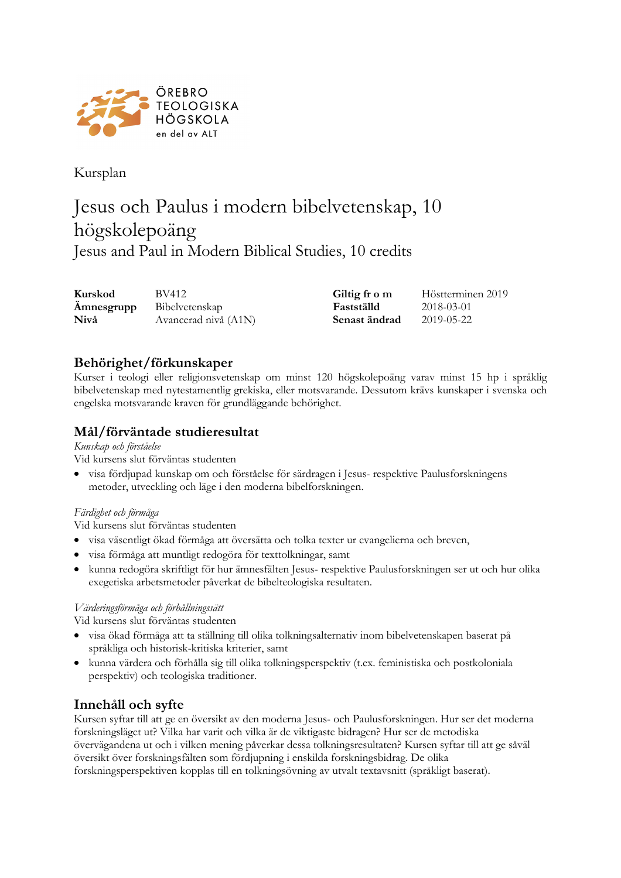

Kursplan

# Jesus och Paulus i modern bibelvetenskap, 10 högskolepoäng Jesus and Paul in Modern Biblical Studies, 10 credits

**Kurskod** BV412 **Giltig fr o m** Höstterminen 2019 **Ämnesgrupp** Bibelvetenskap **Fastställd** 2018-03-01 **Nivå** Avancerad nivå (A1N) **Senast ändrad** 2019-05-22

# **Behörighet/förkunskaper**

Kurser i teologi eller religionsvetenskap om minst 120 högskolepoäng varav minst 15 hp i språklig bibelvetenskap med nytestamentlig grekiska, eller motsvarande. Dessutom krävs kunskaper i svenska och engelska motsvarande kraven för grundläggande behörighet.

# **Mål/förväntade studieresultat**

#### *Kunskap och förståelse*

Vid kursens slut förväntas studenten

• visa fördjupad kunskap om och förståelse för särdragen i Jesus- respektive Paulusforskningens metoder, utveckling och läge i den moderna bibelforskningen.

#### *Färdighet och förmåga*

Vid kursens slut förväntas studenten

- visa väsentligt ökad förmåga att översätta och tolka texter ur evangelierna och breven,
- visa förmåga att muntligt redogöra för texttolkningar, samt
- kunna redogöra skriftligt för hur ämnesfälten Jesus- respektive Paulusforskningen ser ut och hur olika exegetiska arbetsmetoder påverkat de bibelteologiska resultaten.

#### *Värderingsförmåga och förhållningssätt*

Vid kursens slut förväntas studenten

- visa ökad förmåga att ta ställning till olika tolkningsalternativ inom bibelvetenskapen baserat på språkliga och historisk-kritiska kriterier, samt
- kunna värdera och förhålla sig till olika tolkningsperspektiv (t.ex. feministiska och postkoloniala perspektiv) och teologiska traditioner.

# **Innehåll och syfte**

Kursen syftar till att ge en översikt av den moderna Jesus- och Paulusforskningen. Hur ser det moderna forskningsläget ut? Vilka har varit och vilka är de viktigaste bidragen? Hur ser de metodiska övervägandena ut och i vilken mening påverkar dessa tolkningsresultaten? Kursen syftar till att ge såväl översikt över forskningsfälten som fördjupning i enskilda forskningsbidrag. De olika forskningsperspektiven kopplas till en tolkningsövning av utvalt textavsnitt (språkligt baserat).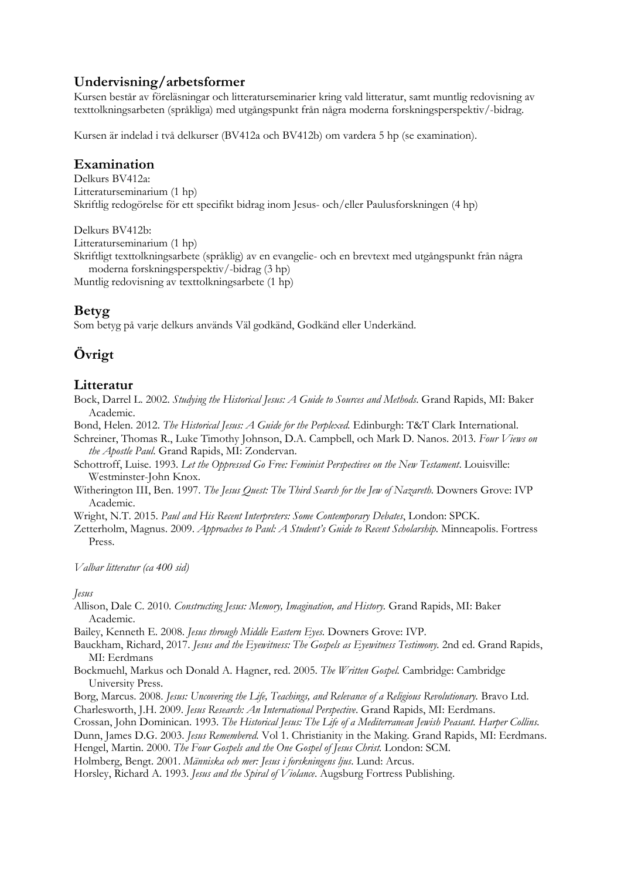## **Undervisning/arbetsformer**

Kursen består av föreläsningar och litteraturseminarier kring vald litteratur, samt muntlig redovisning av texttolkningsarbeten (språkliga) med utgångspunkt från några moderna forskningsperspektiv/-bidrag.

Kursen är indelad i två delkurser (BV412a och BV412b) om vardera 5 hp (se examination).

### **Examination**

Delkurs BV412a: Litteraturseminarium (1 hp) Skriftlig redogörelse för ett specifikt bidrag inom Jesus- och/eller Paulusforskningen (4 hp)

Delkurs BV412b:

Litteraturseminarium (1 hp)

Skriftligt texttolkningsarbete (språklig) av en evangelie- och en brevtext med utgångspunkt från några moderna forskningsperspektiv/-bidrag (3 hp)

Muntlig redovisning av texttolkningsarbete (1 hp)

# **Betyg**

Som betyg på varje delkurs används Väl godkänd, Godkänd eller Underkänd.

# **Övrigt**

#### **Litteratur**

Bock, Darrel L. 2002. *Studying the Historical Jesus: A Guide to Sources and Methods*. Grand Rapids, MI: Baker Academic.

Bond, Helen. 2012. *The Historical Jesus: A Guide for the Perplexed.* Edinburgh: T&T Clark International.

Schreiner, Thomas R., Luke Timothy Johnson, D.A. Campbell, och Mark D. Nanos. 2013. *Four Views on the Apostle Paul*. Grand Rapids, MI: Zondervan.

Schottroff, Luise. 1993. *Let the Oppressed Go Free: Feminist Perspectives on the New Testament*. Louisville: Westminster-John Knox.

Witherington III, Ben. 1997. *The Jesus Quest: The Third Search for the Jew of Nazareth.* Downers Grove: IVP Academic.

Wright, N.T. 2015. *Paul and His Recent Interpreters: Some Contemporary Debates*, London: SPCK.

Zetterholm, Magnus. 2009. *Approaches to Paul: A Student's Guide to Recent Scholarship.* Minneapolis. Fortress Press.

*Valbar litteratur (ca 400 sid)*

#### *Jesus*

Allison, Dale C. 2010. *Constructing Jesus: Memory, Imagination, and History.* Grand Rapids, MI: Baker Academic.

Bailey, Kenneth E. 2008. *Jesus through Middle Eastern Eyes.* Downers Grove: IVP.

- Bauckham, Richard, 2017. *Jesus and the Eyewitness: The Gospels as Eyewitness Testimony.* 2nd ed. Grand Rapids, MI: Eerdmans
- Bockmuehl, Markus och Donald A. Hagner, red. 2005. *The Written Gospel.* Cambridge: Cambridge University Press.

Borg, Marcus. 2008. *Jesus: Uncovering the Life, Teachings, and Relevance of a Religious Revolutionary*. Bravo Ltd. Charlesworth, J.H. 2009. *Jesus Research: An International Perspective*. Grand Rapids, MI: Eerdmans.

Crossan, John Dominican. 1993. *The Historical Jesus: The Life of a Mediterranean Jewish Peasant. Harper Collins.*

Dunn, James D.G. 2003. *Jesus Remembered.* Vol 1. Christianity in the Making*.* Grand Rapids, MI: Eerdmans.

Hengel, Martin. 2000. *The Four Gospels and the One Gospel of Jesus Christ.* London: SCM.

Holmberg, Bengt. 2001. *Människa och mer: Jesus i forskningens ljus*. Lund: Arcus.

Horsley, Richard A. 1993. *Jesus and the Spiral of Violance*. Augsburg Fortress Publishing.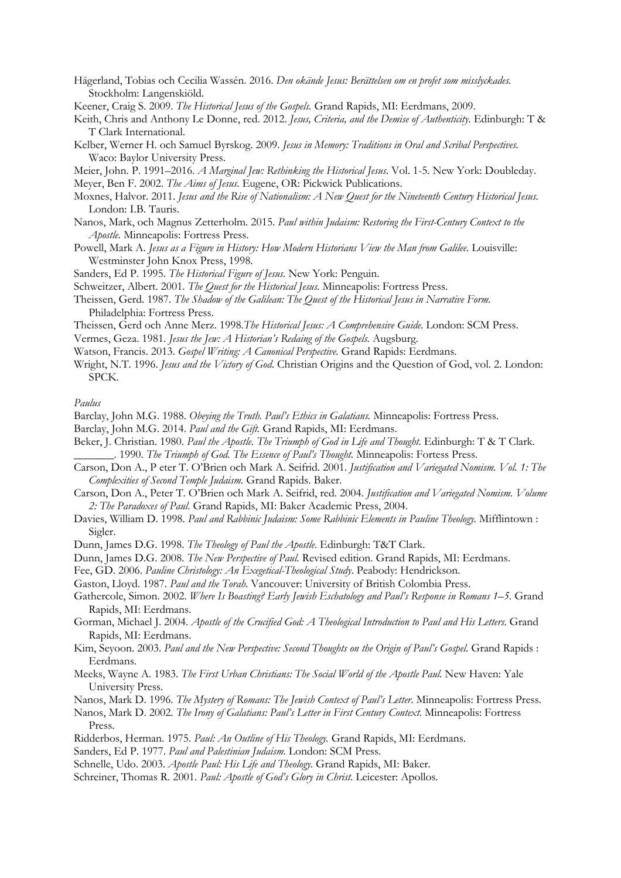- Hägerland, Tobias och Cecilia Wassén. 2016. *Den okände Jesus: Berättelsen om en profet som misslyckades.* Stockholm: Langenskiöld.
- Keener, Craig S. 2009. *The Historical Jesus of the Gospels.* Grand Rapids, MI: Eerdmans, 2009.
- Keith, Chris and Anthony Le Donne, red. 2012. *Jesus, Criteria, and the Demise of Authenticity.* Edinburgh: T & T Clark International.
- Kelber, Werner H. och Samuel Byrskog. 2009. *Jesus in Memory: Traditions in Oral and Scribal Perspectives.* Waco: Baylor University Press.
- Meier, John. P. 1991–2016. *A Marginal Jew: Rethinking the Historical Jesus*. Vol. 1-5. New York: Doubleday. Meyer, Ben F. 2002. *The Aims of Jesus*. Eugene, OR: Pickwick Publications.
- Moxnes, Halvor. 2011. *Jesus and the Rise of Nationalism: A New Quest for the Nineteenth Century Historical Jesus.*  London: I.B. Tauris.
- Nanos, Mark, och Magnus Zetterholm. 2015. *Paul within Judaism: Restoring the First-Century Context to the Apostle.* Minneapolis: Fortress Press.
- Powell, Mark A. *Jesus as a Figure in History: How Modern Historians View the Man from Galilee*. Louisville: Westminster John Knox Press, 1998.
- Sanders, Ed P. 1995. *The Historical Figure of Jesus.* New York: Penguin.
- Schweitzer, Albert. 2001. *The Quest for the Historical Jesus.* Minneapolis: Fortress Press.
- Theissen, Gerd. 1987. *The Shadow of the Galilean: The Quest of the Historical Jesus in Narrative Form*. Philadelphia: Fortress Press.
- Theissen, Gerd och Anne Merz. 1998.*The Historical Jesus: A Comprehensive Guide.* London: SCM Press.
- Vermes, Geza. 1981. *Jesus the Jew: A Historian's Redaing of the Gospels.* Augsburg.
- Watson, Francis. 2013. *Gospel Writing: A Canonical Perspective.* Grand Rapids: Eerdmans.
- Wright, N.T. 1996. *Jesus and the Victory of God*. Christian Origins and the Question of God, vol. 2. London: SPCK.

*Paulus*

- Barclay, John M.G. 1988. *Obeying the Truth. Paul's Ethics in Galatians.* Minneapolis: Fortress Press.
- Barclay, John M.G. 2014. *Paul and the Gift.* Grand Rapids, MI: Eerdmans.
- Beker, J. Christian. 1980. *Paul the Apostle. The Triumph of God in Life and Thought.* Edinburgh: T & T Clark.
	- \_\_\_\_\_\_\_. 1990. *The Triumph of God. The Essence of Paul's Thought.* Minneapolis: Fortess Press.
- Carson, Don A., P eter T. O'Brien och Mark A. Seifrid. 2001. *Justification and Variegated Nomism. Vol. 1: The Complexities of Second Temple Judaism.* Grand Rapids. Baker.
- Carson, Don A., Peter T. O'Brien och Mark A. Seifrid, red. 2004. *Justification and Variegated Nomism. Volume 2: The Paradoxes of Paul*. Grand Rapids, MI: Baker Academic Press, 2004.
- Davies, William D. 1998. *Paul and Rabbinic Judaism: Some Rabbinic Elements in Pauline Theology.* Mifflintown : Sigler.
- Dunn, James D.G. 1998. *The Theology of Paul the Apostle*. Edinburgh: T&T Clark.
- Dunn, James D.G. 2008. *The New Perspective of Paul.* Revised edition. Grand Rapids, MI: Eerdmans.
- Fee, GD. 2006. *Pauline Christology: An Exegetical-Theological Study*. Peabody: Hendrickson.
- Gaston, Lloyd. 1987. *Paul and the Torah.* Vancouver: University of British Colombia Press.
- Gathercole, Simon. 2002. *Where Is Boasting? Early Jewish Eschatology and Paul's Response in Romans 1–5.* Grand Rapids, MI: Eerdmans.
- Gorman, Michael J. 2004. *Apostle of the Crucified God: A Theological Introduction to Paul and His Letters.* Grand Rapids, MI: Eerdmans.
- Kim, Seyoon. 2003. *Paul and the New Perspective: Second Thoughts on the Origin of Paul's Gospel*. Grand Rapids : Eerdmans.
- Meeks, Wayne A. 1983. *The First Urban Christians: The Social World of the Apostle Paul.* New Haven: Yale University Press.
- Nanos, Mark D. 1996. *The Mystery of Romans: The Jewish Context of Paul's Letter*. Minneapolis: Fortress Press.
- Nanos, Mark D. 2002. *The Irony of Galatians: Paul's Letter in First Century Context*. Minneapolis: Fortress Press.
- Ridderbos, Herman. 1975. *Paul: An Outline of His Theology.* Grand Rapids, MI: Eerdmans.
- Sanders, Ed P. 1977. *Paul and Palestinian Judaism.* London: SCM Press.
- Schnelle, Udo. 2003. *Apostle Paul: His Life and Theology.* Grand Rapids, MI: Baker.
- Schreiner, Thomas R. 2001. *Paul: Apostle of God's Glory in Christ*. Leicester: Apollos.